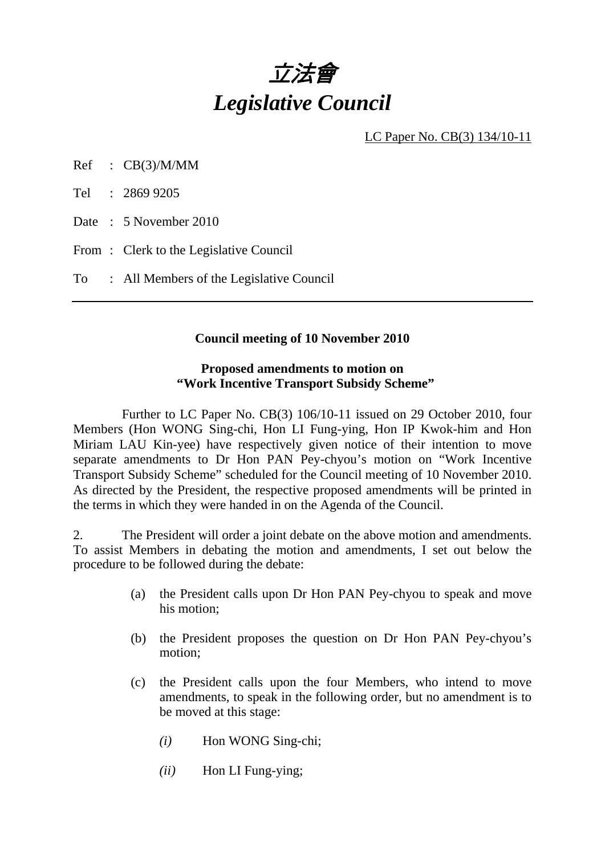

LC Paper No. CB(3) 134/10-11

Ref : CB(3)/M/MM

Tel : 2869 9205

Date : 5 November 2010

From: Clerk to the Legislative Council

To : All Members of the Legislative Council

#### **Council meeting of 10 November 2010**

#### **Proposed amendments to motion on "Work Incentive Transport Subsidy Scheme"**

 Further to LC Paper No. CB(3) 106/10-11 issued on 29 October 2010, four Members (Hon WONG Sing-chi, Hon LI Fung-ying, Hon IP Kwok-him and Hon Miriam LAU Kin-yee) have respectively given notice of their intention to move separate amendments to Dr Hon PAN Pey-chyou's motion on "Work Incentive Transport Subsidy Scheme" scheduled for the Council meeting of 10 November 2010. As directed by the President, the respective proposed amendments will be printed in the terms in which they were handed in on the Agenda of the Council.

2. The President will order a joint debate on the above motion and amendments. To assist Members in debating the motion and amendments, I set out below the procedure to be followed during the debate:

- (a) the President calls upon Dr Hon PAN Pey-chyou to speak and move his motion;
- (b) the President proposes the question on Dr Hon PAN Pey-chyou's motion;
- (c) the President calls upon the four Members, who intend to move amendments, to speak in the following order, but no amendment is to be moved at this stage:
	- *(i)* Hon WONG Sing-chi;
	- *(ii)* Hon LI Fung-ying;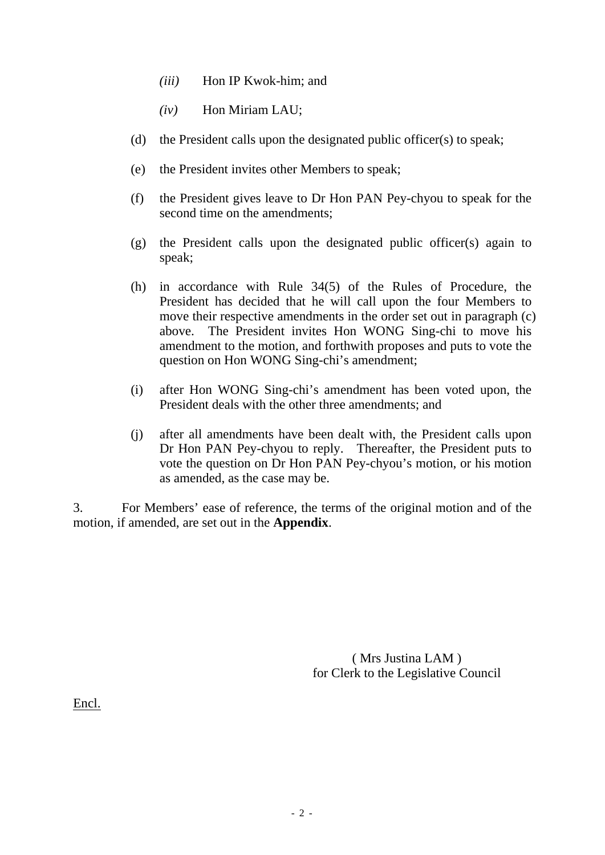- *(iii)* Hon IP Kwok-him; and
- *(iv)* Hon Miriam LAU;
- (d) the President calls upon the designated public officer(s) to speak;
- (e) the President invites other Members to speak;
- (f) the President gives leave to Dr Hon PAN Pey-chyou to speak for the second time on the amendments;
- (g) the President calls upon the designated public officer(s) again to speak;
- (h) in accordance with Rule 34(5) of the Rules of Procedure, the President has decided that he will call upon the four Members to move their respective amendments in the order set out in paragraph (c) above. The President invites Hon WONG Sing-chi to move his amendment to the motion, and forthwith proposes and puts to vote the question on Hon WONG Sing-chi's amendment;
- (i) after Hon WONG Sing-chi's amendment has been voted upon, the President deals with the other three amendments; and
- (j) after all amendments have been dealt with, the President calls upon Dr Hon PAN Pey-chyou to reply. Thereafter, the President puts to vote the question on Dr Hon PAN Pey-chyou's motion, or his motion as amended, as the case may be.

3. For Members' ease of reference, the terms of the original motion and of the motion, if amended, are set out in the **Appendix**.

> ( Mrs Justina LAM ) for Clerk to the Legislative Council

Encl.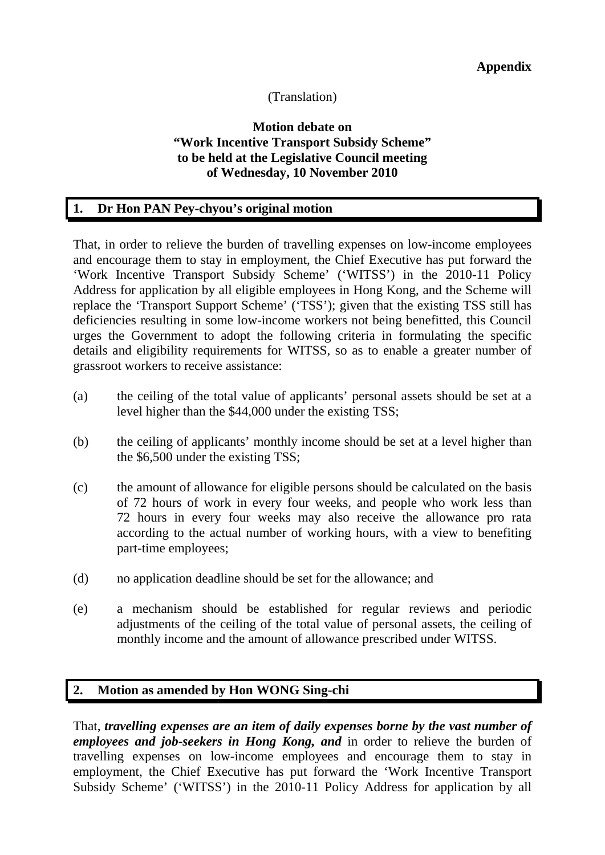## (Translation)

### **Motion debate on "Work Incentive Transport Subsidy Scheme" to be held at the Legislative Council meeting of Wednesday, 10 November 2010**

### **1. Dr Hon PAN Pey-chyou's original motion**

That, in order to relieve the burden of travelling expenses on low-income employees and encourage them to stay in employment, the Chief Executive has put forward the 'Work Incentive Transport Subsidy Scheme' ('WITSS') in the 2010-11 Policy Address for application by all eligible employees in Hong Kong, and the Scheme will replace the 'Transport Support Scheme' ('TSS'); given that the existing TSS still has deficiencies resulting in some low-income workers not being benefitted, this Council urges the Government to adopt the following criteria in formulating the specific details and eligibility requirements for WITSS, so as to enable a greater number of grassroot workers to receive assistance:

- (a) the ceiling of the total value of applicants' personal assets should be set at a level higher than the \$44,000 under the existing TSS;
- (b) the ceiling of applicants' monthly income should be set at a level higher than the \$6,500 under the existing TSS;
- (c) the amount of allowance for eligible persons should be calculated on the basis of 72 hours of work in every four weeks, and people who work less than 72 hours in every four weeks may also receive the allowance pro rata according to the actual number of working hours, with a view to benefiting part-time employees;
- (d) no application deadline should be set for the allowance; and
- (e) a mechanism should be established for regular reviews and periodic adjustments of the ceiling of the total value of personal assets, the ceiling of monthly income and the amount of allowance prescribed under WITSS.

### **2. Motion as amended by Hon WONG Sing-chi**

That, *travelling expenses are an item of daily expenses borne by the vast number of employees and job-seekers in Hong Kong, and* in order to relieve the burden of travelling expenses on low-income employees and encourage them to stay in employment, the Chief Executive has put forward the 'Work Incentive Transport Subsidy Scheme' ('WITSS') in the 2010-11 Policy Address for application by all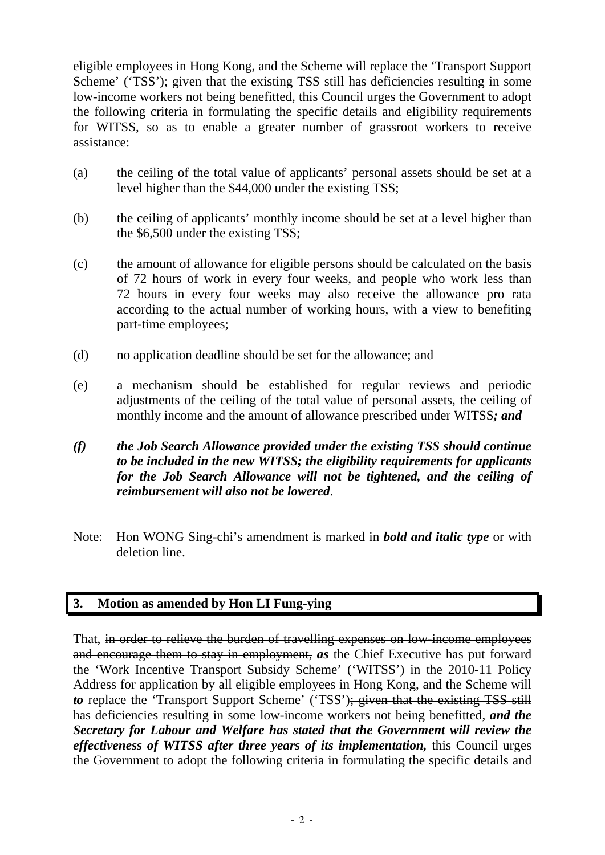eligible employees in Hong Kong, and the Scheme will replace the 'Transport Support Scheme' ('TSS'); given that the existing TSS still has deficiencies resulting in some low-income workers not being benefitted, this Council urges the Government to adopt the following criteria in formulating the specific details and eligibility requirements for WITSS, so as to enable a greater number of grassroot workers to receive assistance:

- (a) the ceiling of the total value of applicants' personal assets should be set at a level higher than the \$44,000 under the existing TSS;
- (b) the ceiling of applicants' monthly income should be set at a level higher than the \$6,500 under the existing TSS;
- (c) the amount of allowance for eligible persons should be calculated on the basis of 72 hours of work in every four weeks, and people who work less than 72 hours in every four weeks may also receive the allowance pro rata according to the actual number of working hours, with a view to benefiting part-time employees;
- (d) no application deadline should be set for the allowance; and
- (e) a mechanism should be established for regular reviews and periodic adjustments of the ceiling of the total value of personal assets, the ceiling of monthly income and the amount of allowance prescribed under WITSS*; and*
- *(f) the Job Search Allowance provided under the existing TSS should continue to be included in the new WITSS; the eligibility requirements for applicants for the Job Search Allowance will not be tightened, and the ceiling of reimbursement will also not be lowered*.
- Note: Hon WONG Sing-chi's amendment is marked in *bold and italic type* or with deletion line.

# **3. Motion as amended by Hon LI Fung-ying**

That, in order to relieve the burden of travelling expenses on low-income employees and encourage them to stay in employment, *as* the Chief Executive has put forward the 'Work Incentive Transport Subsidy Scheme' ('WITSS') in the 2010-11 Policy Address for application by all eligible employees in Hong Kong, and the Scheme will *to* replace the 'Transport Support Scheme' ('TSS'); given that the existing TSS still has deficiencies resulting in some low-income workers not being benefitted, *and the Secretary for Labour and Welfare has stated that the Government will review the effectiveness of WITSS after three years of its implementation,* this Council urges the Government to adopt the following criteria in formulating the specific details and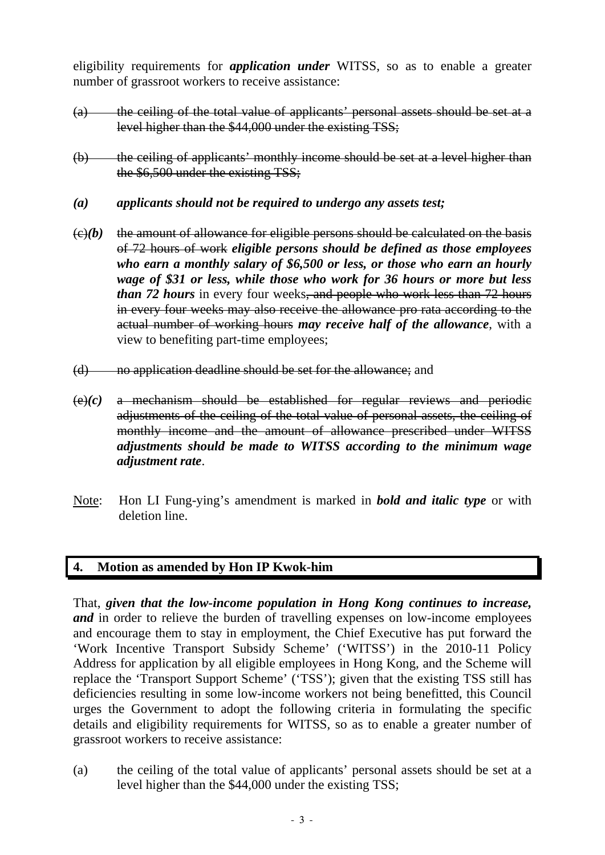eligibility requirements for *application under* WITSS, so as to enable a greater number of grassroot workers to receive assistance:

- (a) the ceiling of the total value of applicants' personal assets should be set at a level higher than the \$44,000 under the existing TSS;
- (b) the ceiling of applicants' monthly income should be set at a level higher than the \$6,500 under the existing TSS:
- *(a) applicants should not be required to undergo any assets test;*
- $\epsilon(x)$  (e)(b) the amount of allowance for eligible persons should be calculated on the basis of 72 hours of work *eligible persons should be defined as those employees who earn a monthly salary of \$6,500 or less, or those who earn an hourly wage of \$31 or less, while those who work for 36 hours or more but less than 72 hours* in every four weeks, and people who work less than 72 hours in every four weeks may also receive the allowance pro rata according to the actual number of working hours *may receive half of the allowance*, with a view to benefiting part-time employees;
- (d) no application deadline should be set for the allowance; and
- $(e)(c)$  a mechanism should be established for regular reviews and periodic adjustments of the ceiling of the total value of personal assets, the ceiling of monthly income and the amount of allowance prescribed under WITSS *adjustments should be made to WITSS according to the minimum wage adjustment rate*.
- Note: Hon LI Fung-ying's amendment is marked in *bold and italic type* or with deletion line.

### **4. Motion as amended by Hon IP Kwok-him**

That, *given that the low-income population in Hong Kong continues to increase, and* in order to relieve the burden of travelling expenses on low-income employees and encourage them to stay in employment, the Chief Executive has put forward the 'Work Incentive Transport Subsidy Scheme' ('WITSS') in the 2010-11 Policy Address for application by all eligible employees in Hong Kong, and the Scheme will replace the 'Transport Support Scheme' ('TSS'); given that the existing TSS still has deficiencies resulting in some low-income workers not being benefitted, this Council urges the Government to adopt the following criteria in formulating the specific details and eligibility requirements for WITSS, so as to enable a greater number of grassroot workers to receive assistance:

(a) the ceiling of the total value of applicants' personal assets should be set at a level higher than the \$44,000 under the existing TSS;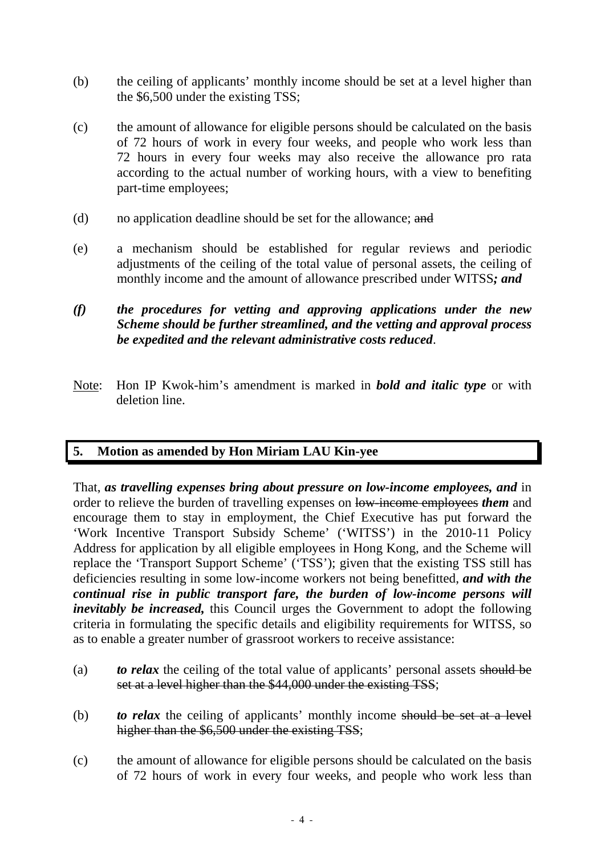- (b) the ceiling of applicants' monthly income should be set at a level higher than the \$6,500 under the existing TSS;
- (c) the amount of allowance for eligible persons should be calculated on the basis of 72 hours of work in every four weeks, and people who work less than 72 hours in every four weeks may also receive the allowance pro rata according to the actual number of working hours, with a view to benefiting part-time employees;
- (d) no application deadline should be set for the allowance; and
- (e) a mechanism should be established for regular reviews and periodic adjustments of the ceiling of the total value of personal assets, the ceiling of monthly income and the amount of allowance prescribed under WITSS*; and*
- *(f) the procedures for vetting and approving applications under the new Scheme should be further streamlined, and the vetting and approval process be expedited and the relevant administrative costs reduced*.
- Note: Hon IP Kwok-him's amendment is marked in *bold and italic type* or with deletion line.

# **5. Motion as amended by Hon Miriam LAU Kin-yee**

That, *as travelling expenses bring about pressure on low-income employees, and* in order to relieve the burden of travelling expenses on low-income employees *them* and encourage them to stay in employment, the Chief Executive has put forward the 'Work Incentive Transport Subsidy Scheme' ('WITSS') in the 2010-11 Policy Address for application by all eligible employees in Hong Kong, and the Scheme will replace the 'Transport Support Scheme' ('TSS'); given that the existing TSS still has deficiencies resulting in some low-income workers not being benefitted, *and with the continual rise in public transport fare, the burden of low-income persons will inevitably be increased,* this Council urges the Government to adopt the following criteria in formulating the specific details and eligibility requirements for WITSS, so as to enable a greater number of grassroot workers to receive assistance:

- (a) *to relax* the ceiling of the total value of applicants' personal assets should be set at a level higher than the \$44,000 under the existing TSS;
- (b) *to relax* the ceiling of applicants' monthly income should be set at a level higher than the \$6,500 under the existing TSS;
- (c) the amount of allowance for eligible persons should be calculated on the basis of 72 hours of work in every four weeks, and people who work less than